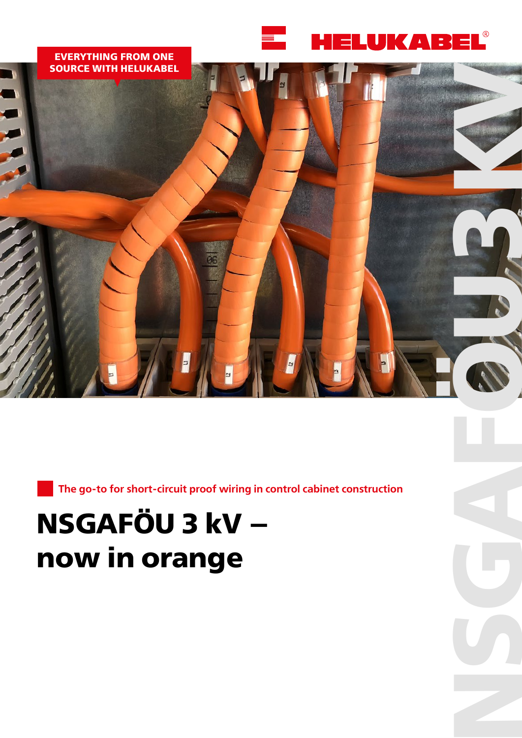

**NSGAFGUE** 

# **EVERYTHING FROM ONE SOURCE WITH HELUKABEL**

**The go-to for short-circuit proof wiring in control cabinet construction**

# **NSGAFÖU 3 kV – now in orange**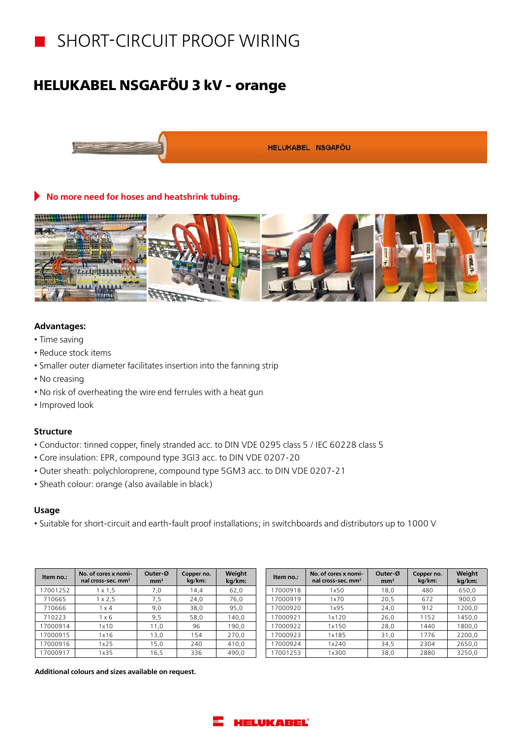

# **HELUKABEL NSGAFÖU 3 kV - orange**



# **No more need for hoses and heatshrink tubing.**



# **Advantages:**

- Time saving
- Reduce stock items
- Smaller outer diameter facilitates insertion into the fanning strip
- No creasing
- No risk of overheating the wire end ferrules with a heat gun
- Improved look

## **Structure**

- Conductor: tinned copper, finely stranded acc. to DIN VDE 0295 class 5 / IEC 60228 class 5
- Core insulation: EPR, compound type 3Gl3 acc. to DIN VDE 0207-20
- Outer sheath: polychloroprene, compound type 5GM3 acc. to DIN VDE 0207-21
- Sheath colour: orange (also available in black)

## **Usage**

• Suitable for short-circuit and earth-fault proof installations; in switchboards and distributors up to 1000 V

| Item no.: | No. of cores x nomi-<br>nal cross-sec. mm <sup>2</sup> | Outer-Ø<br>mm <sup>2</sup> | Copper no.<br>kg/km: | Weight<br>kg/km: |
|-----------|--------------------------------------------------------|----------------------------|----------------------|------------------|
| 17001252  | $1 \times 1.5$                                         | 7,0                        | 14,4                 | 62,0             |
| 710665    | $1 \times 2.5$                                         | 7,5                        | 24,0                 | 76,0             |
| 710666    | $1 \times 4$                                           | 9,0                        | 38,0                 | 95,0             |
| 710223    | 1 x 6                                                  | 9,5                        | 58,0                 | 140,0            |
| 17000914  | 1x10                                                   | 11,0                       | 96                   | 190,0            |
| 17000915  | 1x16                                                   | 13,0                       | 154                  | 270,0            |
| 17000916  | 1x25                                                   | 15,0                       | 240                  | 410,0            |
| 17000917  | 1x35                                                   | 16,5                       | 336                  | 490.0            |

| Item no.: | No. of cores x nomi-<br>nal cross-sec. mm <sup>2</sup> | Outer-Ø<br>mm <sup>2</sup> | Copper no.<br>kg/km: | Weight<br>kg/km: |
|-----------|--------------------------------------------------------|----------------------------|----------------------|------------------|
| 17000918  | 1x50                                                   | 18,0                       | 480                  | 650,0            |
| 17000919  | 1x70                                                   | 20,5                       | 672                  | 900,0            |
| 17000920  | 1x95                                                   | 24,0                       | 912                  | 1200,0           |
| 17000921  | 1x120                                                  | 26,0                       | 1152                 | 1450,0           |
| 17000922  | 1x150                                                  | 28,0                       | 1440                 | 1800,0           |
| 17000923  | 1x185                                                  | 31,0                       | 1776                 | 2200,0           |
| 17000924  | 1x240                                                  | 34,5                       | 2304                 | 2650,0           |
| 17001253  | 1x300                                                  | 38,0                       | 2880                 | 3250,0           |

**Additional colours and sizes available on request.** 

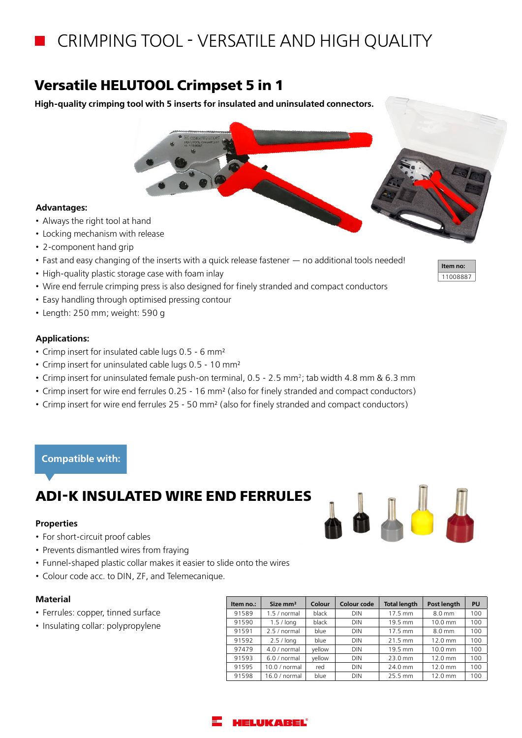# CRIMPING TOOL - VERSATILE AND HIGH QUALITY

# **Versatile HELUTOOL Crimpset 5 in 1**

**High-quality crimping tool with 5 inserts for insulated and uninsulated connectors.**

## **Advantages:**

- Always the right tool at hand
- Locking mechanism with release
- 2-component hand grip
- Fast and easy changing of the inserts with a quick release fastener no additional tools needed!
- High-quality plastic storage case with foam inlay
- Wire end ferrule crimping press is also designed for finely stranded and compact conductors
- Easy handling through optimised pressing contour
- Length: 250 mm; weight: 590 g

## **Applications:**

- Crimp insert for insulated cable lugs 0.5 6 mm²
- Crimp insert for uninsulated cable lugs 0.5 10 mm²
- Crimp insert for uninsulated female push-on terminal, 0.5 2.5 mm2; tab width 4.8 mm & 6.3 mm
- Crimp insert for wire end ferrules 0.25 16 mm² (also for finely stranded and compact conductors)
- Crimp insert for wire end ferrules 25 50 mm² (also for finely stranded and compact conductors)

## **Compatible with:**

# **ADI-K INSULATED WIRE END FERRULES**

#### **Properties**

- For short-circuit proof cables
- Prevents dismantled wires from fraying
- Funnel-shaped plastic collar makes it easier to slide onto the wires
- Colour code acc. to DIN, ZF, and Telemecanique.

#### **Material**

- Ferrules: copper, tinned surface
- Insulating collar: polypropylene

| Item no.: | Size mm <sup>2</sup> | Colour | Colour code | <b>Total length</b> | Post length       | PU  |
|-----------|----------------------|--------|-------------|---------------------|-------------------|-----|
| 91589     | 1.5/normal           | black  | <b>DIN</b>  | 17.5 mm             | $8.0 \text{ mm}$  | 100 |
| 91590     | $1.5/$ long          | black  | <b>DIN</b>  | 19.5 mm             | $10.0 \text{ mm}$ | 100 |
| 91591     | 2.5/normal           | blue   | <b>DIN</b>  | 17.5 mm             | $8.0 \text{ mm}$  | 100 |
| 91592     | $2.5/$ long          | blue   | <b>DIN</b>  | 21.5 mm             | $12.0 \text{ mm}$ | 100 |
| 97479     | 4.0/normal           | vellow | <b>DIN</b>  | 19.5 mm             | $10.0 \text{ mm}$ | 100 |
| 91593     | 6.0/normal           | vellow | <b>DIN</b>  | 23.0 mm             | $12.0 \text{ mm}$ | 100 |
| 91595     | 10.0/normal          | red    | <b>DIN</b>  | 24.0 mm             | $12.0 \text{ mm}$ | 100 |
| 91598     | 16.0/normal          | blue   | <b>DIN</b>  | 25.5 mm             | 12.0 mm           | 100 |



**Item no:** 11008887